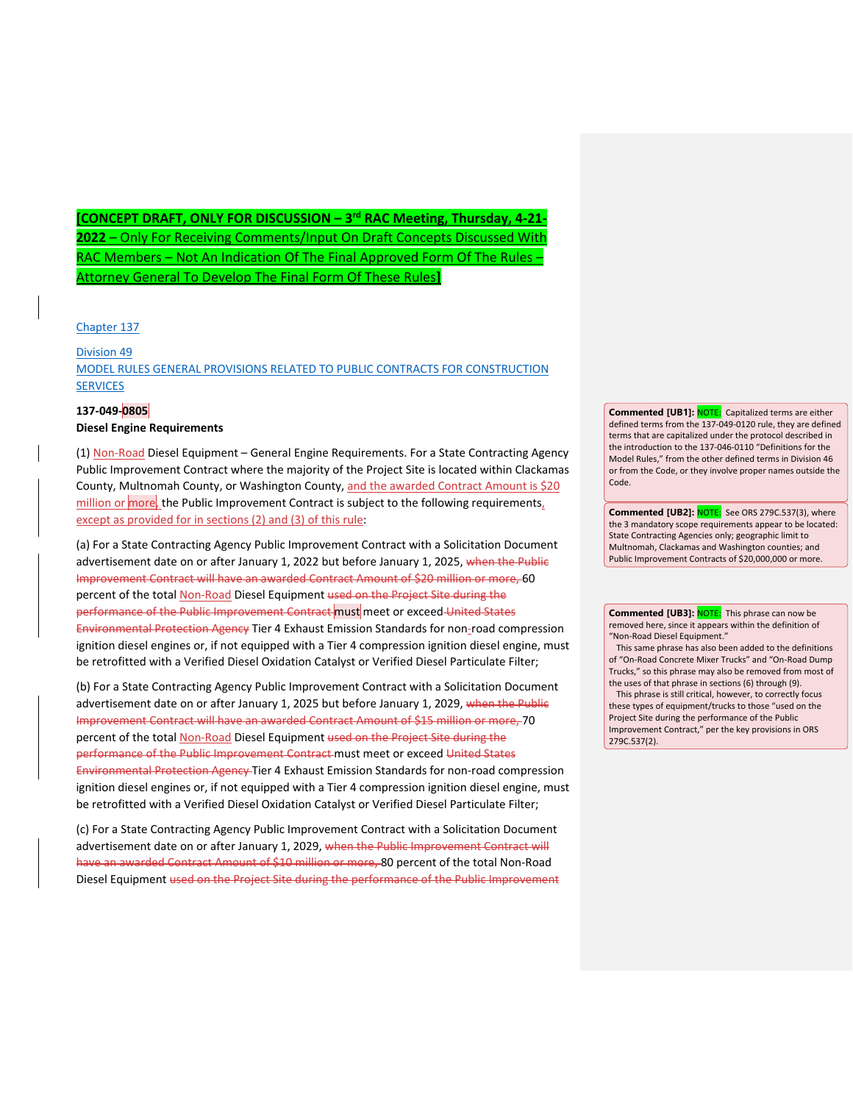**[CONCEPT DRAFT, ONLY FOR DISCUSSION – 3rd RAC Meeting, Thursday, 4-21- 2022** – Only For Receiving Comments/Input On Draft Concepts Discussed With RAC Members – Not An Indication Of The Final Approved Form Of The Rules – Attorney General To Develop The Final Form Of These Rules**]**

[Chapter 137](https://secure.sos.state.or.us/oard/displayChapterRules.action?selectedChapter=93)

[Division 49](https://secure.sos.state.or.us/oard/displayDivisionRules.action?selectedDivision=300) [MODEL RULES GENERAL PROVISIONS RELATED TO PUBLIC CONTRACTS FOR CONSTRUCTION](https://secure.sos.state.or.us/oard/displayDivisionRules.action?selectedDivision=300)  **[SERVICES](https://secure.sos.state.or.us/oard/displayDivisionRules.action?selectedDivision=300)** 

## **137-049-0805**

## **Diesel Engine Requirements**

(1) Non-Road Diesel Equipment – General Engine Requirements. For a State Contracting Agency Public Improvement Contract where the majority of the Project Site is located within Clackamas County, Multnomah County, or Washington County, and the awarded Contract Amount is \$20 million or more, the Public Improvement Contract is subject to the following requirements, except as provided for in sections (2) and (3) of this rule:

(a) For a State Contracting Agency Public Improvement Contract with a Solicitation Document advertisement date on or after January 1, 2022 but before January 1, 2025, when the Public Improvement Contract will have an awarded Contract Amount of \$20 million or more, 60 percent of the total Non-Road Diesel Equipment used on the Project Site during the performance of the Public Improvement Contract must meet or exceed United States Environmental Protection Agency Tier 4 Exhaust Emission Standards for non-road compression ignition diesel engines or, if not equipped with a Tier 4 compression ignition diesel engine, must be retrofitted with a Verified Diesel Oxidation Catalyst or Verified Diesel Particulate Filter;

(b) For a State Contracting Agency Public Improvement Contract with a Solicitation Document advertisement date on or after January 1, 2025 but before January 1, 2029, when the Public Improvement Contract will have an awarded Contract Amount of \$15 million or more, 70 percent of the total Non-Road Diesel Equipment used on the Project Site during the performance of the Public Improvement Contract must meet or exceed United States Environmental Protection Agency Tier 4 Exhaust Emission Standards for non-road compression ignition diesel engines or, if not equipped with a Tier 4 compression ignition diesel engine, must be retrofitted with a Verified Diesel Oxidation Catalyst or Verified Diesel Particulate Filter;

(c) For a State Contracting Agency Public Improvement Contract with a Solicitation Document advertisement date on or after January 1, 2029, when the Public Improvement Contract will have an awarded Contract Amount of \$10 million or more, 80 percent of the total Non-Road Diesel Equipment used on the Project Site during the performance of the Public Improvement

**Commented [UB1]:** NOTE: Capitalized terms are either defined terms from the 137-049-0120 rule, they are defined terms that are capitalized under the protocol described in the introduction to the 137-046-0110 "Definitions for the Model Rules," from the other defined terms in Division 46 or from the Code, or they involve proper names outside the Code.

**Commented [UB2]:** NOTE: See ORS 279C.537(3), where the 3 mandatory scope requirements appear to be located: State Contracting Agencies only; geographic limit to Multnomah, Clackamas and Washington counties; and Public Improvement Contracts of \$20,000,000 or more.

**Commented [UB3]: NOTE:** This phrase can now be removed here, since it appears within the definition of "Non-Road Diesel Equipment."

This same phrase has also been added to the definitions of "On-Road Concrete Mixer Trucks" and "On-Road Dump Trucks," so this phrase may also be removed from most of the uses of that phrase in sections (6) through (9).

This phrase is still critical, however, to correctly focus these types of equipment/trucks to those "used on the Project Site during the performance of the Public Improvement Contract," per the key provisions in ORS 279C.537(2).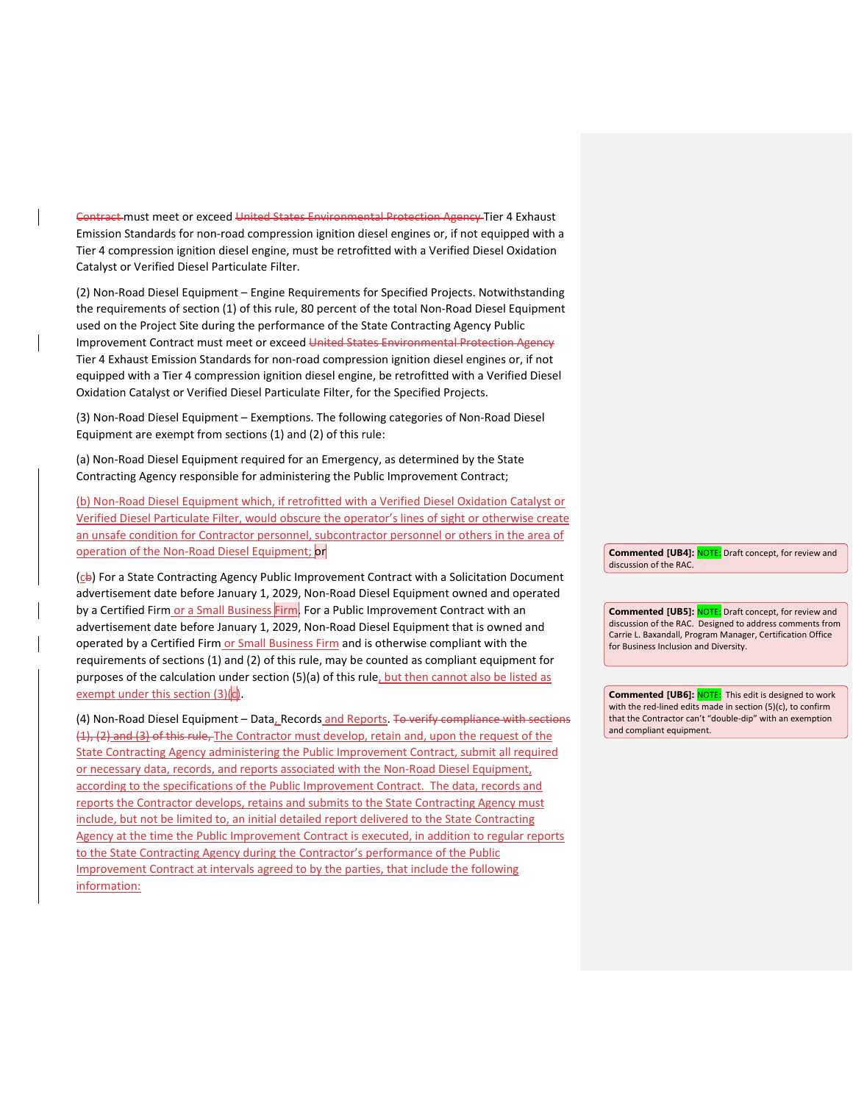Contract must meet or exceed United States Environmental Protection Agency Tier 4 Exhaust Emission Standards for non-road compression ignition diesel engines or, if not equipped with a Tier 4 compression ignition diesel engine, must be retrofitted with a Verified Diesel Oxidation Catalyst or Verified Diesel Particulate Filter.

(2) Non-Road Diesel Equipment – Engine Requirements for Specified Projects. Notwithstanding the requirements of section (1) of this rule, 80 percent of the total Non-Road Diesel Equipment used on the Project Site during the performance of the State Contracting Agency Public Improvement Contract must meet or exceed United States Environmental Protection Agency Tier 4 Exhaust Emission Standards for non-road compression ignition diesel engines or, if not equipped with a Tier 4 compression ignition diesel engine, be retrofitted with a Verified Diesel Oxidation Catalyst or Verified Diesel Particulate Filter, for the Specified Projects.

(3) Non-Road Diesel Equipment – Exemptions. The following categories of Non-Road Diesel Equipment are exempt from sections (1) and (2) of this rule:

(a) Non-Road Diesel Equipment required for an Emergency, as determined by the State Contracting Agency responsible for administering the Public Improvement Contract;

(b) Non-Road Diesel Equipment which, if retrofitted with a Verified Diesel Oxidation Catalyst or Verified Diesel Particulate Filter, would obscure the operator's lines of sight or otherwise create an unsafe condition for Contractor personnel, subcontractor personnel or others in the area of operation of the Non-Road Diesel Equipment; or

 $($ c $\leftrightarrow$ ) For a State Contracting Agency Public Improvement Contract with a Solicitation Document advertisement date before January 1, 2029, Non-Road Diesel Equipment owned and operated by a Certified Firm or a Small Business Firm. For a Public Improvement Contract with an advertisement date before January 1, 2029, Non-Road Diesel Equipment that is owned and operated by a Certified Firm or Small Business Firm and is otherwise compliant with the requirements of sections (1) and (2) of this rule, may be counted as compliant equipment for purposes of the calculation under section (5)(a) of this rule, but then cannot also be listed as exempt under this section (3)(c).

(4) Non-Road Diesel Equipment - Data, Records and Reports. To verify compliance with sections (1), (2) and (3) of this rule, The Contractor must develop, retain and, upon the request of the State Contracting Agency administering the Public Improvement Contract, submit all required or necessary data, records, and reports associated with the Non-Road Diesel Equipment, according to the specifications of the Public Improvement Contract. The data, records and reports the Contractor develops, retains and submits to the State Contracting Agency must include, but not be limited to, an initial detailed report delivered to the State Contracting Agency at the time the Public Improvement Contract is executed, in addition to regular reports to the State Contracting Agency during the Contractor's performance of the Public Improvement Contract at intervals agreed to by the parties, that include the following information:

**Commented [UB4]:** NOTE: Draft concept, for review and discussion of the RAC.

**Commented [UB5]:** NOTE: Draft concept, for review and discussion of the RAC. Designed to address comments from Carrie L. Baxandall, Program Manager, Certification Office for Business Inclusion and Diversity.

**Commented [UB6]: NOTE:** This edit is designed to work with the red-lined edits made in section (5)(c), to confirm that the Contractor can't "double-dip" with an exemption and compliant equipment.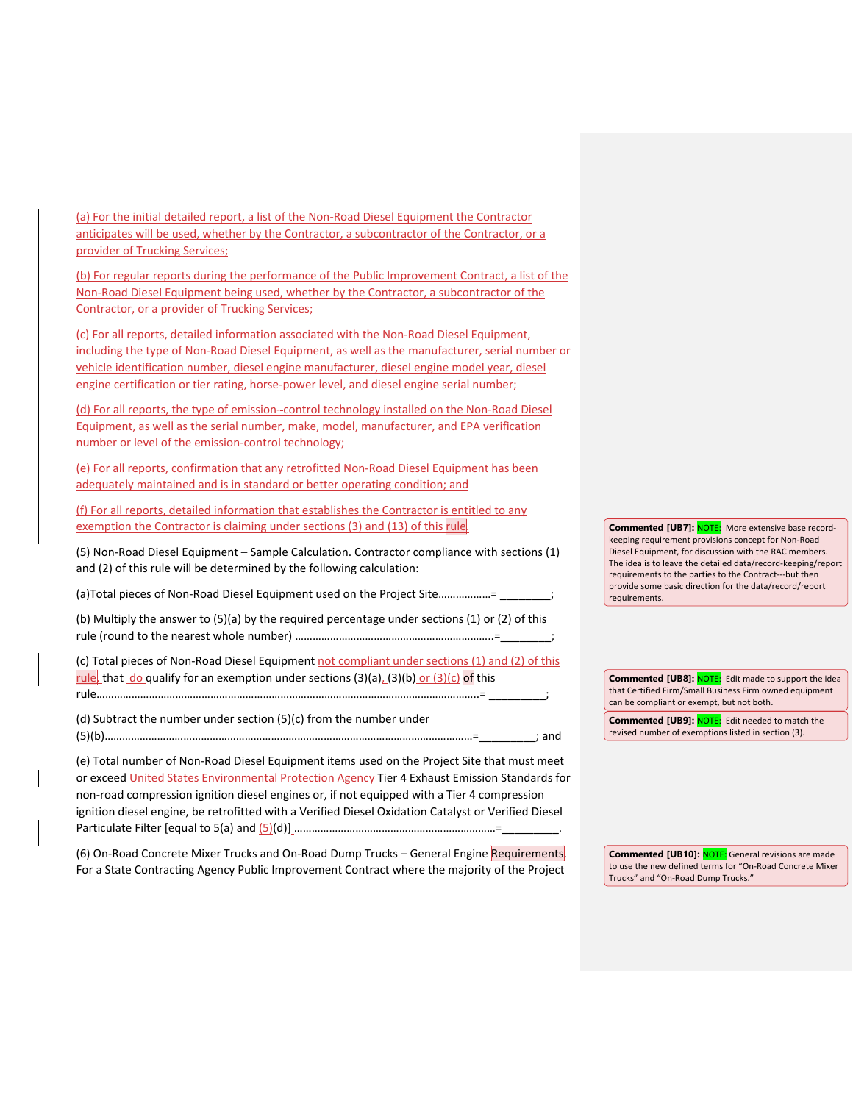(a) For the initial detailed report, a list of the Non-Road Diesel Equipment the Contractor anticipates will be used, whether by the Contractor, a subcontractor of the Contractor, or a provider of Trucking Services;

(b) For regular reports during the performance of the Public Improvement Contract, a list of the Non-Road Diesel Equipment being used, whether by the Contractor, a subcontractor of the Contractor, or a provider of Trucking Services;

(c) For all reports, detailed information associated with the Non-Road Diesel Equipment, including the type of Non-Road Diesel Equipment, as well as the manufacturer, serial number or vehicle identification number, diesel engine manufacturer, diesel engine model year, diesel engine certification or tier rating, horse-power level, and diesel engine serial number;

(d) For all reports, the type of emission--control technology installed on the Non-Road Diesel Equipment, as well as the serial number, make, model, manufacturer, and EPA verification number or level of the emission-control technology;

(e) For all reports, confirmation that any retrofitted Non-Road Diesel Equipment has been adequately maintained and is in standard or better operating condition; and

(f) For all reports, detailed information that establishes the Contractor is entitled to any exemption the Contractor is claiming under sections (3) and (13) of this rule.

(5) Non-Road Diesel Equipment – Sample Calculation. Contractor compliance with sections (1) and (2) of this rule will be determined by the following calculation:

(a)Total pieces of Non-Road Diesel Equipment used on the Project Site.................=

(b) Multiply the answer to (5)(a) by the required percentage under sections (1) or (2) of this rule (round to the nearest whole number) ……………………………………………………………=

(c) Total pieces of Non-Road Diesel Equipment not compliant under sections (1) and (2) of this rule, that do qualify for an exemption under sections (3)(a), (3)(b) or (3)(c) of this rule…………………………………………………………………………………………………………………..= \_\_\_\_\_\_\_\_\_;

(d) Subtract the number under section (5)(c) from the number under (5)(b)………………………………………………………………………………………………………………=\_\_\_\_\_\_\_\_\_; and

(e) Total number of Non-Road Diesel Equipment items used on the Project Site that must meet or exceed United States Environmental Protection Agency Tier 4 Exhaust Emission Standards for non-road compression ignition diesel engines or, if not equipped with a Tier 4 compression ignition diesel engine, be retrofitted with a Verified Diesel Oxidation Catalyst or Verified Diesel Particulate Filter [equal to 5(a) and (5)(d)] ……………………………………………………………=\_\_\_\_\_\_\_\_\_.

(6) On-Road Concrete Mixer Trucks and On-Road Dump Trucks – General Engine Requirements. For a State Contracting Agency Public Improvement Contract where the majority of the Project

**Commented [UB7]:** NOTE: More extensive base recordkeeping requirement provisions concept for Non-Road Diesel Equipment, for discussion with the RAC members. The idea is to leave the detailed data/record-keeping/report requirements to the parties to the Contract---but then provide some basic direction for the data/record/report requirements.

**Commented [UB8]: NOTE:** Edit made to support the idea that Certified Firm/Small Business Firm owned equipment can be compliant or exempt, but not both.

**Commented [UB9]: NOTE:** Edit needed to match the revised number of exemptions listed in section (3).

**Commented [UB10]:** NOTE: General revisions are made to use the new defined terms for "On-Road Concrete Mixer Trucks" and "On-Road Dump Trucks."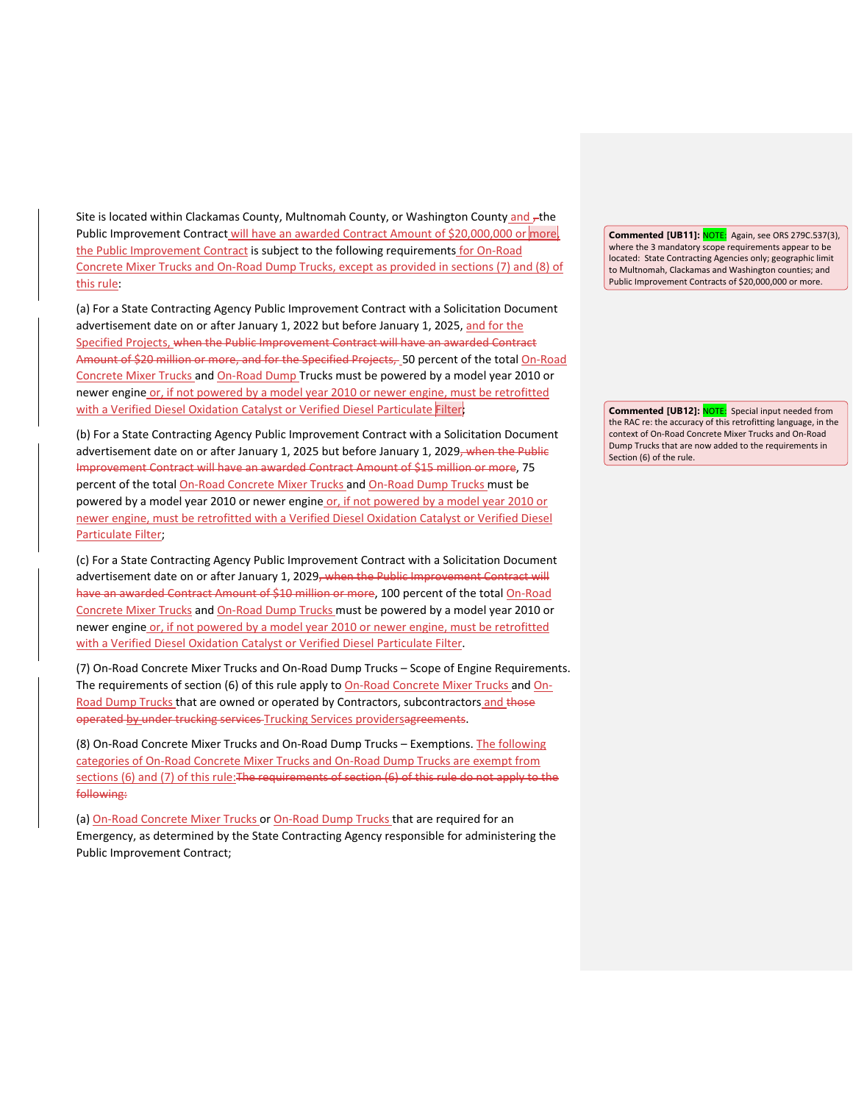Site is located within Clackamas County, Multnomah County, or Washington County and  $\tau$ the Public Improvement Contract will have an awarded Contract Amount of \$20,000,000 or more the Public Improvement Contract is subject to the following requirements for On-Road Concrete Mixer Trucks and On-Road Dump Trucks, except as provided in sections (7) and (8) of this rule:

(a) For a State Contracting Agency Public Improvement Contract with a Solicitation Document advertisement date on or after January 1, 2022 but before January 1, 2025, and for the Specified Projects, when the Public Improvement Contract will have an awarded Contract Amount of \$20 million or more, and for the Specified Projects, 50 percent of the total On-Road Concrete Mixer Trucks and On-Road Dump Trucks must be powered by a model year 2010 or newer engine or, if not powered by a model year 2010 or newer engine, must be retrofitted with a Verified Diesel Oxidation Catalyst or Verified Diesel Particulate Filter;

(b) For a State Contracting Agency Public Improvement Contract with a Solicitation Document advertisement date on or after January 1, 2025 but before January 1, 2029, when the Public Improvement Contract will have an awarded Contract Amount of \$15 million or more, 75 percent of the total On-Road Concrete Mixer Trucks and On-Road Dump Trucks must be powered by a model year 2010 or newer engine or, if not powered by a model year 2010 or newer engine, must be retrofitted with a Verified Diesel Oxidation Catalyst or Verified Diesel Particulate Filter;

(c) For a State Contracting Agency Public Improvement Contract with a Solicitation Document advertisement date on or after January 1, 2029<del>, when the Public Improvement Contract will</del> have an awarded Contract Amount of \$10 million or more, 100 percent of the total On-Road Concrete Mixer Trucks and On-Road Dump Trucks must be powered by a model year 2010 or newer engine or, if not powered by a model year 2010 or newer engine, must be retrofitted with a Verified Diesel Oxidation Catalyst or Verified Diesel Particulate Filter.

(7) On-Road Concrete Mixer Trucks and On-Road Dump Trucks – Scope of Engine Requirements. The requirements of section (6) of this rule apply to On-Road Concrete Mixer Trucks and On-Road Dump Trucks that are owned or operated by Contractors, subcontractors and those operated by under trucking services Trucking Services providersagreements.

(8) On-Road Concrete Mixer Trucks and On-Road Dump Trucks – Exemptions. The following categories of On-Road Concrete Mixer Trucks and On-Road Dump Trucks are exempt from sections (6) and (7) of this rule: The requirements of section (6) of this rule do not apply to the following:

(a) On-Road Concrete Mixer Trucks or On-Road Dump Trucks that are required for an Emergency, as determined by the State Contracting Agency responsible for administering the Public Improvement Contract;

**Commented [UB11]:** NOTE: Again, see ORS 279C.537(3), where the 3 mandatory scope requirements appear to be located: State Contracting Agencies only; geographic limit to Multnomah, Clackamas and Washington counties; and Public Improvement Contracts of \$20,000,000 or more.

**Commented [UB12]:** NOTE: Special input needed from the RAC re: the accuracy of this retrofitting language, in the context of On-Road Concrete Mixer Trucks and On-Road Dump Trucks that are now added to the requirements in Section (6) of the rule.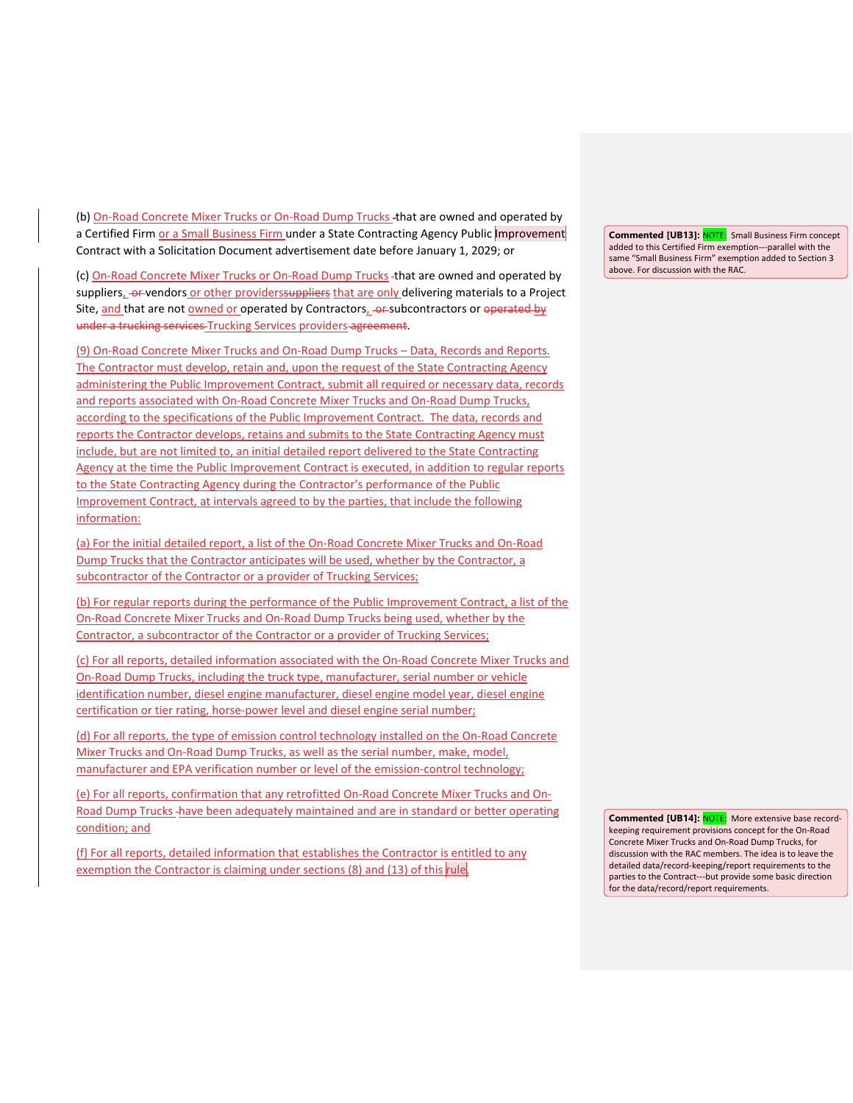(b) On-Road Concrete Mixer Trucks or On-Road Dump Trucks -that are owned and operated by a Certified Firm or a Small Business Firm under a State Contracting Agency Public *Improvement* Contract with a Solicitation Document advertisement date before January 1, 2029; or

(c) On-Road Concrete Mixer Trucks or On-Road Dump Trucks -that are owned and operated by suppliers, or vendors or other providerssuppliers that are only delivering materials to a Project Site, and that are not owned or operated by Contractors, or subcontractors or operated by under a trucking services Trucking Services providers agreement.

(9) On-Road Concrete Mixer Trucks and On-Road Dump Trucks – Data, Records and Reports. The Contractor must develop, retain and, upon the request of the State Contracting Agency administering the Public Improvement Contract, submit all required or necessary data, records and reports associated with On-Road Concrete Mixer Trucks and On-Road Dump Trucks, according to the specifications of the Public Improvement Contract. The data, records and reports the Contractor develops, retains and submits to the State Contracting Agency must include, but are not limited to, an initial detailed report delivered to the State Contracting Agency at the time the Public Improvement Contract is executed, in addition to regular reports to the State Contracting Agency during the Contractor's performance of the Public Improvement Contract, at intervals agreed to by the parties, that include the following information:

(a) For the initial detailed report, a list of the On-Road Concrete Mixer Trucks and On-Road Dump Trucks that the Contractor anticipates will be used, whether by the Contractor, a subcontractor of the Contractor or a provider of Trucking Services;

(b) For regular reports during the performance of the Public Improvement Contract, a list of the On-Road Concrete Mixer Trucks and On-Road Dump Trucks being used, whether by the Contractor, a subcontractor of the Contractor or a provider of Trucking Services;

(c) For all reports, detailed information associated with the On-Road Concrete Mixer Trucks and On-Road Dump Trucks, including the truck type, manufacturer, serial number or vehicle identification number, diesel engine manufacturer, diesel engine model year, diesel engine certification or tier rating, horse-power level and diesel engine serial number;

(d) For all reports, the type of emission control technology installed on the On-Road Concrete Mixer Trucks and On-Road Dump Trucks, as well as the serial number, make, model, manufacturer and EPA verification number or level of the emission-control technology;

(e) For all reports, confirmation that any retrofitted On-Road Concrete Mixer Trucks and On-Road Dump Trucks have been adequately maintained and are in standard or better operating condition; and

(f) For all reports, detailed information that establishes the Contractor is entitled to any exemption the Contractor is claiming under sections (8) and (13) of this rule.

**Commented [UB13]:** NOTE: Small Business Firm concept added to this Certified Firm exemption---parallel with the same "Small Business Firm" exemption added to Section 3 above. For discussion with the RAC.

**Commented [UB14]:** NOTE: More extensive base recordkeeping requirement provisions concept for the On-Road Concrete Mixer Trucks and On-Road Dump Trucks, for discussion with the RAC members. The idea is to leave the detailed data/record-keeping/report requirements to the parties to the Contract---but provide some basic direction for the data/record/report requirements.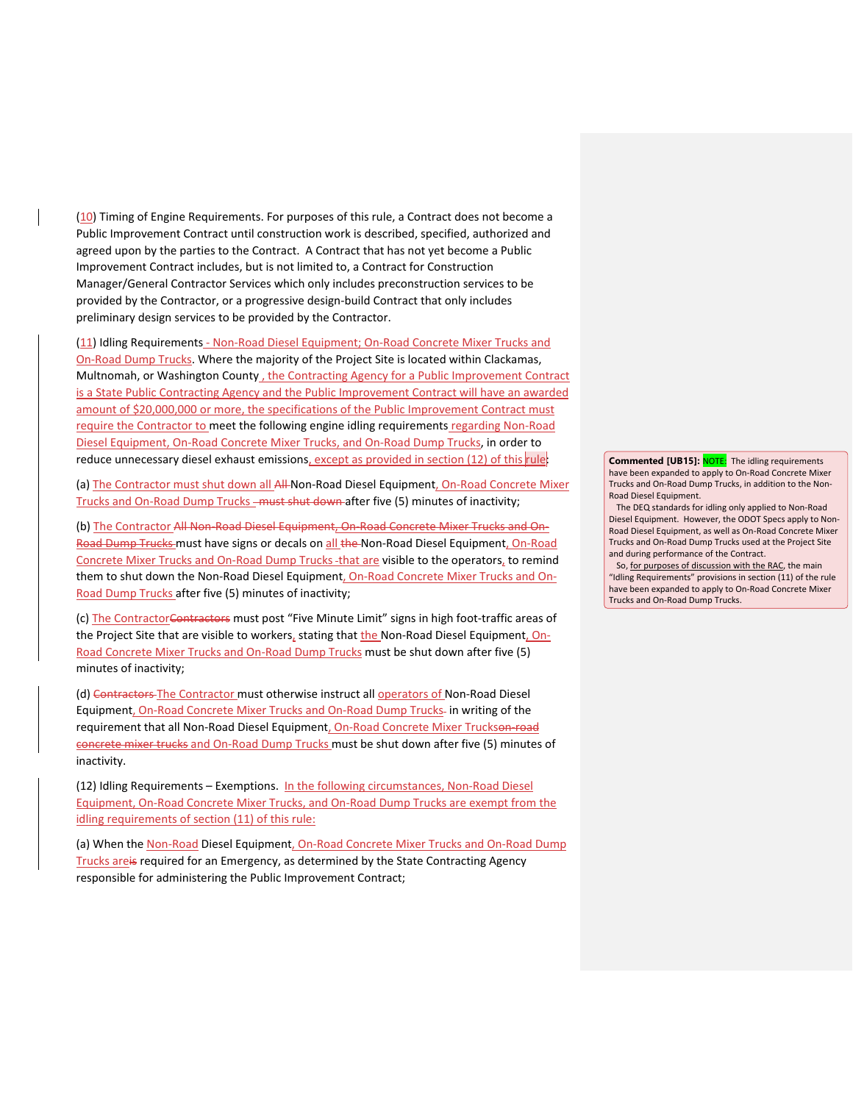(10) Timing of Engine Requirements. For purposes of this rule, a Contract does not become a Public Improvement Contract until construction work is described, specified, authorized and agreed upon by the parties to the Contract. A Contract that has not yet become a Public Improvement Contract includes, but is not limited to, a Contract for Construction Manager/General Contractor Services which only includes preconstruction services to be provided by the Contractor, or a progressive design-build Contract that only includes preliminary design services to be provided by the Contractor.

(11) Idling Requirements - Non-Road Diesel Equipment; On-Road Concrete Mixer Trucks and On-Road Dump Trucks. Where the majority of the Project Site is located within Clackamas, Multnomah, or Washington County, the Contracting Agency for a Public Improvement Contract is a State Public Contracting Agency and the Public Improvement Contract will have an awarded amount of \$20,000,000 or more, the specifications of the Public Improvement Contract must require the Contractor to meet the following engine idling requirements regarding Non-Road Diesel Equipment, On-Road Concrete Mixer Trucks, and On-Road Dump Trucks, in order to reduce unnecessary diesel exhaust emissions, except as provided in section (12) of this rule:

(a) The Contractor must shut down all All-Non-Road Diesel Equipment, On-Road Concrete Mixer Trucks and On-Road Dump Trucks - must shut down after five (5) minutes of inactivity;

(b) The Contractor All Non-Road Diesel Equipment, On-Road Concrete Mixer Trucks and On-Road Dump Trucks must have signs or decals on all the Non-Road Diesel Equipment, On-Road Concrete Mixer Trucks and On-Road Dump Trucks -that are visible to the operators, to remind them to shut down the Non-Road Diesel Equipment, On-Road Concrete Mixer Trucks and On-Road Dump Trucks after five (5) minutes of inactivity;

(c) The ContractorContractors must post "Five Minute Limit" signs in high foot-traffic areas of the Project Site that are visible to workers, stating that the Non-Road Diesel Equipment, On-Road Concrete Mixer Trucks and On-Road Dump Trucks must be shut down after five (5) minutes of inactivity;

(d) Contractors The Contractor must otherwise instruct all operators of Non-Road Diesel Equipment, On-Road Concrete Mixer Trucks and On-Road Dump Trucks- in writing of the requirement that all Non-Road Diesel Equipment, On-Road Concrete Mixer Truckson-road concrete mixer trucks and On-Road Dump Trucks must be shut down after five (5) minutes of inactivity.

(12) Idling Requirements – Exemptions. In the following circumstances, Non-Road Diesel Equipment, On-Road Concrete Mixer Trucks, and On-Road Dump Trucks are exempt from the idling requirements of section (11) of this rule:

(a) When the Non-Road Diesel Equipment, On-Road Concrete Mixer Trucks and On-Road Dump Trucks are is required for an Emergency, as determined by the State Contracting Agency responsible for administering the Public Improvement Contract;

**Commented [UB15]: NOTE:** The idling requirements have been expanded to apply to On-Road Concrete Mixer Trucks and On-Road Dump Trucks, in addition to the Non-Road Diesel Equipment.

The DEQ standards for idling only applied to Non-Road Diesel Equipment. However, the ODOT Specs apply to Non-Road Diesel Equipment, as well as On-Road Concrete Mixer Trucks and On-Road Dump Trucks used at the Project Site and during performance of the Contract.

So, for purposes of discussion with the RAC, the main "Idling Requirements" provisions in section (11) of the rule have been expanded to apply to On-Road Concrete Mixer Trucks and On-Road Dump Trucks.